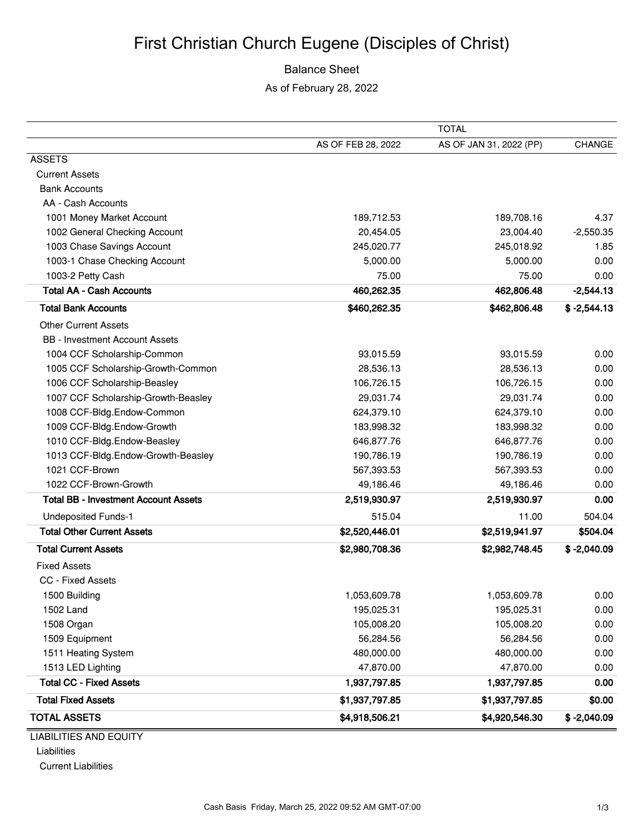### Balance Sheet

As of February 28, 2022

|                                             | <b>TOTAL</b>       |                         |               |
|---------------------------------------------|--------------------|-------------------------|---------------|
|                                             | AS OF FEB 28, 2022 | AS OF JAN 31, 2022 (PP) | <b>CHANGE</b> |
| <b>ASSETS</b>                               |                    |                         |               |
| <b>Current Assets</b>                       |                    |                         |               |
| <b>Bank Accounts</b>                        |                    |                         |               |
| AA - Cash Accounts                          |                    |                         |               |
| 1001 Money Market Account                   | 189,712.53         | 189,708.16              | 4.37          |
| 1002 General Checking Account               | 20,454.05          | 23,004.40               | $-2,550.35$   |
| 1003 Chase Savings Account                  | 245,020.77         | 245,018.92              | 1.85          |
| 1003-1 Chase Checking Account               | 5,000.00           | 5,000.00                | 0.00          |
| 1003-2 Petty Cash                           | 75.00              | 75.00                   | 0.00          |
| <b>Total AA - Cash Accounts</b>             | 460,262.35         | 462,806.48              | $-2,544.13$   |
| <b>Total Bank Accounts</b>                  | \$460,262.35       | \$462,806.48            | $$ -2,544.13$ |
| Other Current Assets                        |                    |                         |               |
| <b>BB</b> - Investment Account Assets       |                    |                         |               |
| 1004 CCF Scholarship-Common                 | 93,015.59          | 93,015.59               | 0.00          |
| 1005 CCF Scholarship-Growth-Common          | 28,536.13          | 28,536.13               | 0.00          |
| 1006 CCF Scholarship-Beasley                | 106,726.15         | 106,726.15              | 0.00          |
| 1007 CCF Scholarship-Growth-Beasley         | 29,031.74          | 29,031.74               | 0.00          |
| 1008 CCF-Bldg.Endow-Common                  | 624,379.10         | 624,379.10              | 0.00          |
| 1009 CCF-Bldg.Endow-Growth                  | 183,998.32         | 183,998.32              | 0.00          |
| 1010 CCF-Bldg.Endow-Beasley                 | 646,877.76         | 646,877.76              | 0.00          |
| 1013 CCF-Bldg.Endow-Growth-Beasley          | 190,786.19         | 190,786.19              | 0.00          |
| 1021 CCF-Brown                              | 567,393.53         | 567,393.53              | 0.00          |
| 1022 CCF-Brown-Growth                       | 49,186.46          | 49,186.46               | 0.00          |
| <b>Total BB - Investment Account Assets</b> | 2,519,930.97       | 2,519,930.97            | 0.00          |
| <b>Undeposited Funds-1</b>                  | 515.04             | 11.00                   | 504.04        |
| <b>Total Other Current Assets</b>           | \$2,520,446.01     | \$2,519,941.97          | \$504.04      |
| <b>Total Current Assets</b>                 | \$2,980,708.36     | \$2,982,748.45          | $$ -2,040.09$ |
| <b>Fixed Assets</b>                         |                    |                         |               |
| <b>CC - Fixed Assets</b>                    |                    |                         |               |
| 1500 Building                               | 1,053,609.78       | 1,053,609.78            | 0.00          |
| 1502 Land                                   | 195,025.31         | 195,025.31              | 0.00          |
| 1508 Organ                                  | 105,008.20         | 105,008.20              | 0.00          |
| 1509 Equipment                              | 56,284.56          | 56,284.56               | 0.00          |
| 1511 Heating System                         | 480,000.00         | 480,000.00              | 0.00          |
| 1513 LED Lighting                           | 47,870.00          | 47,870.00               | 0.00          |
| <b>Total CC - Fixed Assets</b>              | 1,937,797.85       | 1,937,797.85            | 0.00          |
| <b>Total Fixed Assets</b>                   | \$1,937,797.85     | \$1,937,797.85          | \$0.00        |
| <b>TOTAL ASSETS</b>                         | \$4,918,506.21     | \$4,920,546.30          | $$ -2,040.09$ |

LIABILITIES AND EQUITY Liabilities

Current Liabilities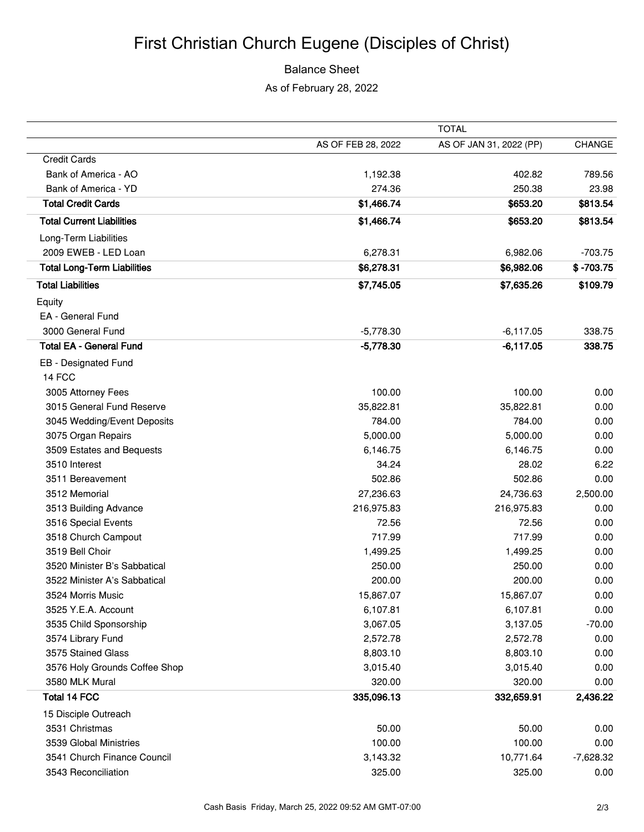# First Christian Church Eugene (Disciples of Christ)

### Balance Sheet

As of February 28, 2022

|                                    |                    | <b>TOTAL</b>            |               |  |
|------------------------------------|--------------------|-------------------------|---------------|--|
|                                    | AS OF FEB 28, 2022 | AS OF JAN 31, 2022 (PP) | <b>CHANGE</b> |  |
| <b>Credit Cards</b>                |                    |                         |               |  |
| Bank of America - AO               | 1,192.38           | 402.82                  | 789.56        |  |
| Bank of America - YD               | 274.36             | 250.38                  | 23.98         |  |
| <b>Total Credit Cards</b>          | \$1,466.74         | \$653.20                | \$813.54      |  |
| <b>Total Current Liabilities</b>   | \$1,466.74         | \$653.20                | \$813.54      |  |
| Long-Term Liabilities              |                    |                         |               |  |
| 2009 EWEB - LED Loan               | 6,278.31           | 6,982.06                | $-703.75$     |  |
| <b>Total Long-Term Liabilities</b> | \$6,278.31         | \$6,982.06              | $$ -703.75$   |  |
| <b>Total Liabilities</b>           | \$7,745.05         | \$7,635.26              | \$109.79      |  |
| Equity                             |                    |                         |               |  |
| EA - General Fund                  |                    |                         |               |  |
| 3000 General Fund                  | $-5,778.30$        | $-6,117.05$             | 338.75        |  |
| <b>Total EA - General Fund</b>     | $-5,778.30$        | $-6,117.05$             | 338.75        |  |
| EB - Designated Fund               |                    |                         |               |  |
| 14 FCC                             |                    |                         |               |  |
| 3005 Attorney Fees                 | 100.00             | 100.00                  | 0.00          |  |
| 3015 General Fund Reserve          | 35,822.81          | 35,822.81               | 0.00          |  |
| 3045 Wedding/Event Deposits        | 784.00             | 784.00                  | 0.00          |  |
| 3075 Organ Repairs                 | 5,000.00           | 5,000.00                | 0.00          |  |
| 3509 Estates and Bequests          | 6,146.75           | 6,146.75                | 0.00          |  |
| 3510 Interest                      | 34.24              | 28.02                   | 6.22          |  |
| 3511 Bereavement                   | 502.86             | 502.86                  | 0.00          |  |
| 3512 Memorial                      | 27,236.63          | 24,736.63               | 2,500.00      |  |
| 3513 Building Advance              | 216,975.83         | 216,975.83              | 0.00          |  |
| 3516 Special Events                | 72.56              | 72.56                   | 0.00          |  |
| 3518 Church Campout                | 717.99             | 717.99                  | 0.00          |  |
| 3519 Bell Choir                    | 1,499.25           | 1,499.25                | 0.00          |  |
| 3520 Minister B's Sabbatical       | 250.00             | 250.00                  | 0.00          |  |
| 3522 Minister A's Sabbatical       | 200.00             | 200.00                  | 0.00          |  |
| 3524 Morris Music                  | 15,867.07          | 15,867.07               | 0.00          |  |
| 3525 Y.E.A. Account                | 6,107.81           | 6,107.81                | 0.00          |  |
| 3535 Child Sponsorship             | 3,067.05           | 3,137.05                | $-70.00$      |  |
| 3574 Library Fund                  | 2,572.78           | 2,572.78                | 0.00          |  |
| 3575 Stained Glass                 | 8,803.10           | 8,803.10                | 0.00          |  |
| 3576 Holy Grounds Coffee Shop      | 3,015.40           | 3,015.40                | 0.00          |  |
| 3580 MLK Mural                     | 320.00             | 320.00                  | 0.00          |  |
| Total 14 FCC                       | 335,096.13         | 332,659.91              | 2,436.22      |  |
| 15 Disciple Outreach               |                    |                         |               |  |
| 3531 Christmas                     | 50.00              | 50.00                   | 0.00          |  |
| 3539 Global Ministries             | 100.00             | 100.00                  | 0.00          |  |
| 3541 Church Finance Council        | 3,143.32           | 10,771.64               | $-7,628.32$   |  |
| 3543 Reconciliation                | 325.00             | 325.00                  | 0.00          |  |